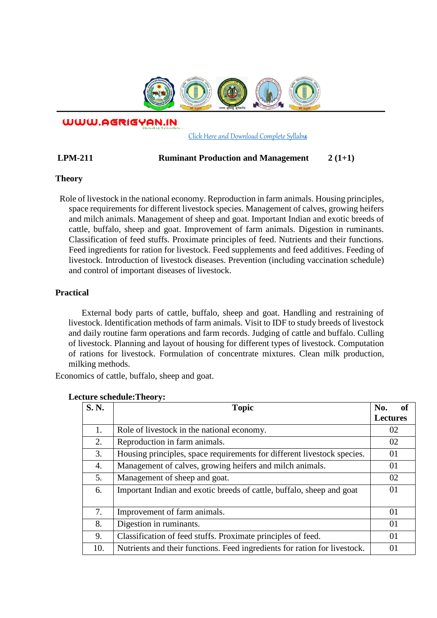

WWW.AGRIGYAN.IN

[Click Here and Download Complete Syllabus](http://agrigyan.in/)

## **LPM-211 Ruminant Production and Management 2 (1+1)**

#### **Theory**

 $\overline{a}$ 

 Role of livestock in the national economy. Reproduction in farm animals. Housing principles, space requirements for different livestock species. Management of calves, growing heifers and milch animals. Management of sheep and goat. Important Indian and exotic breeds of cattle, buffalo, sheep and goat. Improvement of farm animals. Digestion in ruminants. Classification of feed stuffs. Proximate principles of feed. Nutrients and their functions. Feed ingredients for ration for livestock. Feed supplements and feed additives. Feeding of livestock. Introduction of livestock diseases. Prevention (including vaccination schedule) and control of important diseases of livestock.

## **Practical**

External body parts of cattle, buffalo, sheep and goat. Handling and restraining of livestock. Identification methods of farm animals. Visit to IDF to study breeds of livestock and daily routine farm operations and farm records. Judging of cattle and buffalo. Culling of livestock. Planning and layout of housing for different types of livestock. Computation of rations for livestock. Formulation of concentrate mixtures. Clean milk production, milking methods.

Economics of cattle, buffalo, sheep and goat.

| <b>S. N.</b> | <b>Topic</b>                                                              | <sub>of</sub><br>No. |
|--------------|---------------------------------------------------------------------------|----------------------|
|              |                                                                           | <b>Lectures</b>      |
| 1.           | Role of livestock in the national economy.                                | 02                   |
| 2.           | Reproduction in farm animals.                                             | 02                   |
| 3.           | Housing principles, space requirements for different livestock species.   | 01                   |
| 4.           | Management of calves, growing heifers and milch animals.                  | 01                   |
| 5.           | Management of sheep and goat.                                             | 02                   |
| 6.           | Important Indian and exotic breeds of cattle, buffalo, sheep and goat     | 01                   |
|              |                                                                           |                      |
| 7.           | Improvement of farm animals.                                              | 01                   |
| 8.           | Digestion in ruminants.                                                   | 01                   |
| 9.           | Classification of feed stuffs. Proximate principles of feed.              | 01                   |
| 10.          | Nutrients and their functions. Feed ingredients for ration for livestock. | 01                   |

#### **Lecture schedule:Theory:**